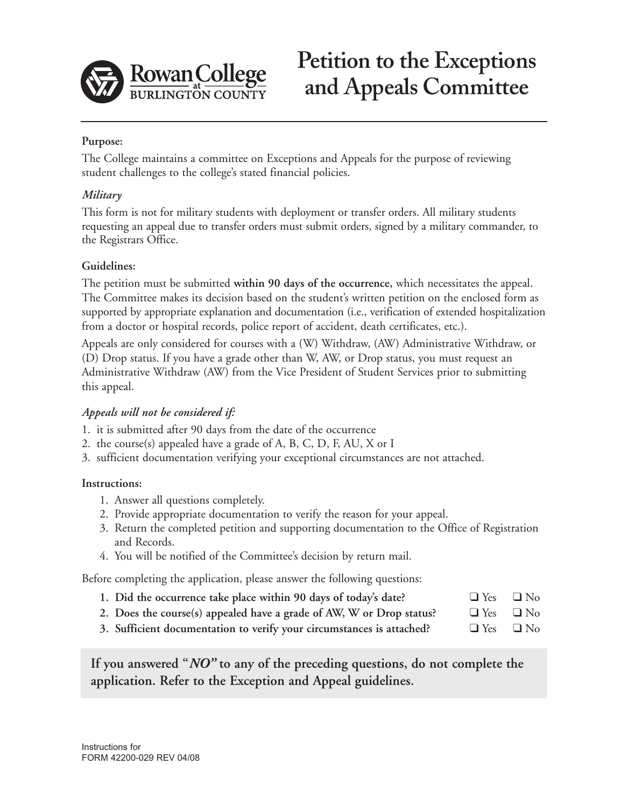

# **Petition to the Exceptions and Appeals Committee**

# **Purpose:**

The College maintains a committee on Exceptions and Appeals for the purpose of reviewing student challenges to the college's stated financial policies.

### *Military*

This form is not for military students with deployment or transfer orders. All military students requesting an appeal due to transfer orders must submit orders, signed by a military commander, to the Registrars Office.

#### **Guidelines:**

The petition must be submitted **within 90 days of the occurrence,** which necessitates the appeal. The Committee makes its decision based on the student's written petition on the enclosed form as supported by appropriate explanation and documentation (i.e., verification of extended hospitalization from a doctor or hospital records, police report of accident, death certificates, etc.).

Appeals are only considered for courses with a (W) Withdraw, (AW) Administrative Withdraw, or (D) Drop status. If you have a grade other than W, AW, or Drop status, you must request an Administrative Withdraw (AW) from the Vice President of Student Services prior to submitting this appeal.

# *Appeals will not be considered if:*

- 1. it is submitted after 90 days from the date of the occurrence
- 2. the course(s) appealed have a grade of A, B, C, D, F, AU, X or I
- 3. sufficient documentation verifying your exceptional circumstances are not attached.

#### **Instructions:**

- 1. Answer all questions completely.
- 2. Provide appropriate documentation to verify the reason for your appeal.
- 3. Return the completed petition and supporting documentation to the Office of Registration and Records.
- 4. You will be notified of the Committee's decision by return mail.

Before completing the application, please answer the following questions:

- **1. Did the occurrence take place within 90 days of today's date?** ❑ Yes ❑ No
- **2. Does the course(s) appealed have a grade of AW, W or Drop status?** ❑ Yes ❑ No
- **3. Sufficient documentation to verify your circumstances is attached?** ❑ Yes ❑ No

**If you answered "***NO"* **to any of the preceding questions, do not complete the application. Refer to the Exception and Appeal guidelines.**